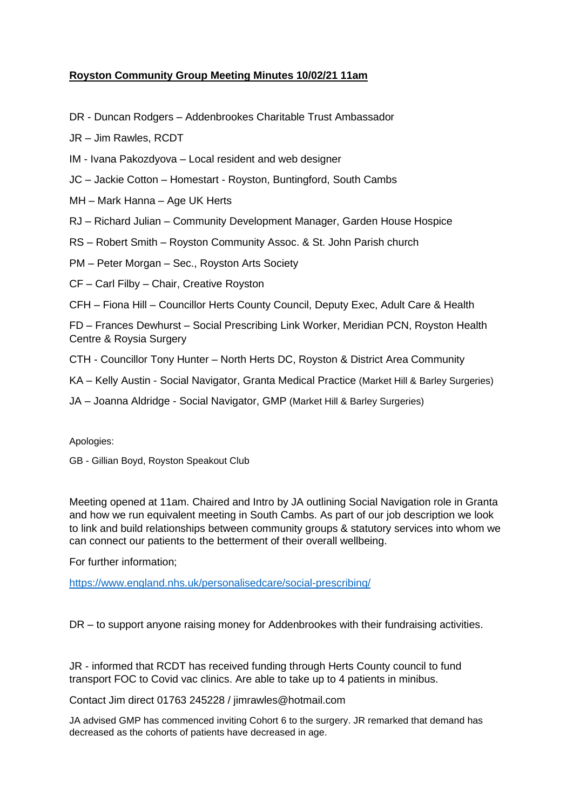# **Royston Community Group Meeting Minutes 10/02/21 11am**

DR - Duncan Rodgers – Addenbrookes Charitable Trust Ambassador

JR – Jim Rawles, RCDT

IM - Ivana Pakozdyova – Local resident and web designer

JC – Jackie Cotton – Homestart - Royston, Buntingford, South Cambs

MH – Mark Hanna – Age UK Herts

RJ – Richard Julian – Community Development Manager, Garden House Hospice

RS – Robert Smith – Royston Community Assoc. & St. John Parish church

PM – Peter Morgan – Sec., Royston Arts Society

CF – Carl Filby – Chair, Creative Royston

CFH – Fiona Hill – Councillor Herts County Council, Deputy Exec, Adult Care & Health

FD – Frances Dewhurst – Social Prescribing Link Worker, Meridian PCN, Royston Health Centre & Roysia Surgery

- CTH Councillor Tony Hunter North Herts DC, Royston & District Area Community
- KA Kelly Austin Social Navigator, Granta Medical Practice (Market Hill & Barley Surgeries)

JA – Joanna Aldridge - Social Navigator, GMP (Market Hill & Barley Surgeries)

Apologies:

GB - Gillian Boyd, Royston Speakout Club

Meeting opened at 11am. Chaired and Intro by JA outlining Social Navigation role in Granta and how we run equivalent meeting in South Cambs. As part of our job description we look to link and build relationships between community groups & statutory services into whom we can connect our patients to the betterment of their overall wellbeing.

For further information;

<https://www.england.nhs.uk/personalisedcare/social-prescribing/>

DR – to support anyone raising money for Addenbrookes with their fundraising activities.

JR - informed that RCDT has received funding through Herts County council to fund transport FOC to Covid vac clinics. Are able to take up to 4 patients in minibus.

Contact Jim direct 01763 245228 / jimrawles@hotmail.com

JA advised GMP has commenced inviting Cohort 6 to the surgery. JR remarked that demand has decreased as the cohorts of patients have decreased in age.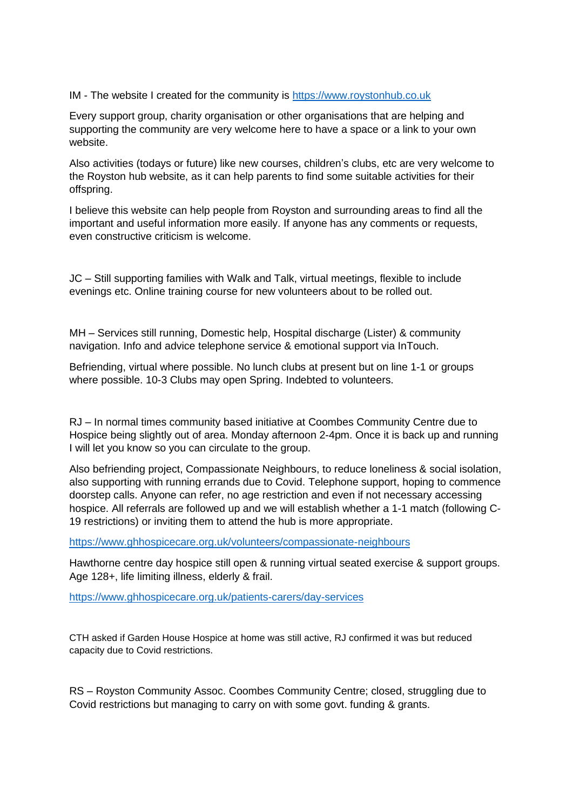## IM - The website I created for the community is [https://www.roystonhub.co.uk](https://www.roystonhub.co.uk/)

Every support group, charity organisation or other organisations that are helping and supporting the community are very welcome here to have a space or a link to your own website.

Also activities (todays or future) like new courses, children's clubs, etc are very welcome to the Royston hub website, as it can help parents to find some suitable activities for their offspring.

I believe this website can help people from Royston and surrounding areas to find all the important and useful information more easily. If anyone has any comments or requests, even constructive criticism is welcome.

JC – Still supporting families with Walk and Talk, virtual meetings, flexible to include evenings etc. Online training course for new volunteers about to be rolled out.

MH – Services still running, Domestic help, Hospital discharge (Lister) & community navigation. Info and advice telephone service & emotional support via InTouch.

Befriending, virtual where possible. No lunch clubs at present but on line 1-1 or groups where possible. 10-3 Clubs may open Spring. Indebted to volunteers.

RJ – In normal times community based initiative at Coombes Community Centre due to Hospice being slightly out of area. Monday afternoon 2-4pm. Once it is back up and running I will let you know so you can circulate to the group.

Also befriending project, Compassionate Neighbours, to reduce loneliness & social isolation, also supporting with running errands due to Covid. Telephone support, hoping to commence doorstep calls. Anyone can refer, no age restriction and even if not necessary accessing hospice. All referrals are followed up and we will establish whether a 1-1 match (following C-19 restrictions) or inviting them to attend the hub is more appropriate.

<https://www.ghhospicecare.org.uk/volunteers/compassionate-neighbours>

Hawthorne centre day hospice still open & running virtual seated exercise & support groups. Age 128+, life limiting illness, elderly & frail.

<https://www.ghhospicecare.org.uk/patients-carers/day-services>

CTH asked if Garden House Hospice at home was still active, RJ confirmed it was but reduced capacity due to Covid restrictions.

RS – Royston Community Assoc. Coombes Community Centre; closed, struggling due to Covid restrictions but managing to carry on with some govt. funding & grants.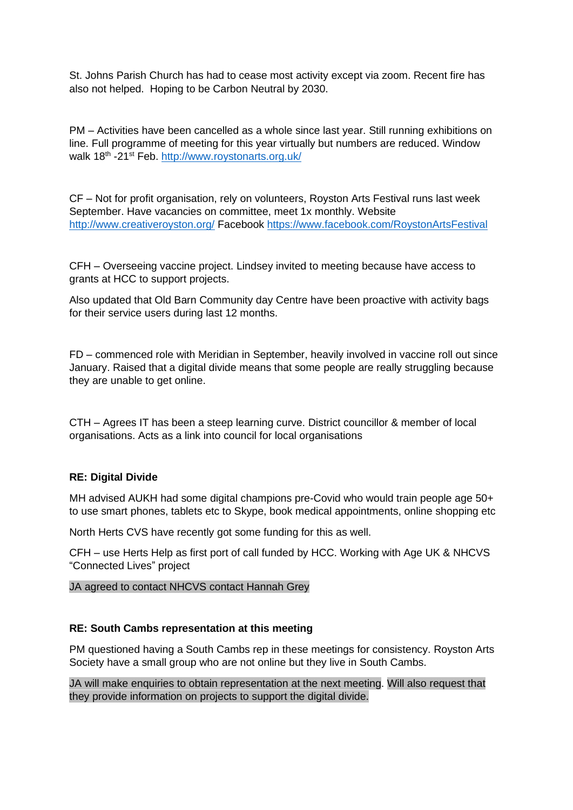St. Johns Parish Church has had to cease most activity except via zoom. Recent fire has also not helped. Hoping to be Carbon Neutral by 2030.

PM – Activities have been cancelled as a whole since last year. Still running exhibitions on line. Full programme of meeting for this year virtually but numbers are reduced. Window walk 18<sup>th</sup> -21<sup>st</sup> Feb. <u>http://www.roystonarts.org.uk</u>/

CF – Not for profit organisation, rely on volunteers, Royston Arts Festival runs last week September. Have vacancies on committee, meet 1x monthly. Website <http://www.creativeroyston.org/> Facebook <https://www.facebook.com/RoystonArtsFestival>

CFH – Overseeing vaccine project. Lindsey invited to meeting because have access to grants at HCC to support projects.

Also updated that Old Barn Community day Centre have been proactive with activity bags for their service users during last 12 months.

FD – commenced role with Meridian in September, heavily involved in vaccine roll out since January. Raised that a digital divide means that some people are really struggling because they are unable to get online.

CTH – Agrees IT has been a steep learning curve. District councillor & member of local organisations. Acts as a link into council for local organisations

## **RE: Digital Divide**

MH advised AUKH had some digital champions pre-Covid who would train people age 50+ to use smart phones, tablets etc to Skype, book medical appointments, online shopping etc

North Herts CVS have recently got some funding for this as well.

CFH – use Herts Help as first port of call funded by HCC. Working with Age UK & NHCVS "Connected Lives" project

JA agreed to contact NHCVS contact Hannah Grey

#### **RE: South Cambs representation at this meeting**

PM questioned having a South Cambs rep in these meetings for consistency. Royston Arts Society have a small group who are not online but they live in South Cambs.

JA will make enquiries to obtain representation at the next meeting. Will also request that they provide information on projects to support the digital divide.